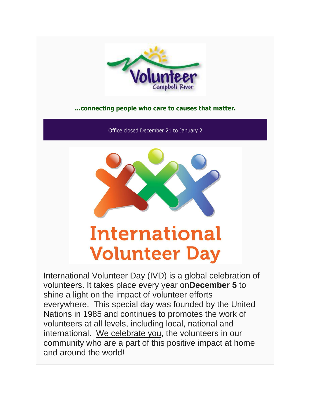

## **...connecting people who care to causes that matter.**

Office closed December 21 to January 2



# **International Volunteer Day**

International Volunteer Day (IVD) is a global celebration of volunteers. It takes place every year on**December 5** to shine a light on the impact of volunteer efforts everywhere. This special day was founded by the United Nations in 1985 and continues to promotes the work of volunteers at all levels, including local, national and international. We celebrate you, the volunteers in our community who are a part of this positive impact at home and around the world!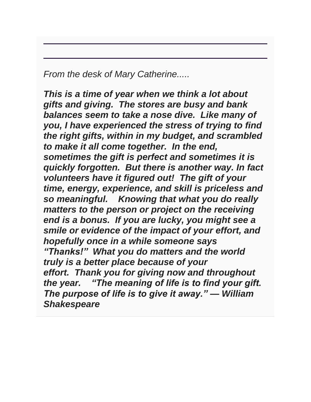*From the desk of Mary Catherine.....*

*This is a time of year when we think a lot about gifts and giving. The stores are busy and bank balances seem to take a nose dive. Like many of you, I have experienced the stress of trying to find the right gifts, within in my budget, and scrambled to make it all come together. In the end, sometimes the gift is perfect and sometimes it is quickly forgotten. But there is another way. In fact volunteers have it figured out! The gift of your time, energy, experience, and skill is priceless and so meaningful. Knowing that what you do really matters to the person or project on the receiving end is a bonus. If you are lucky, you might see a smile or evidence of the impact of your effort, and hopefully once in a while someone says "Thanks!" What you do matters and the world truly is a better place because of your effort. Thank you for giving now and throughout the year. "The meaning of life is to find your gift. The purpose of life is to give it away." — William Shakespeare*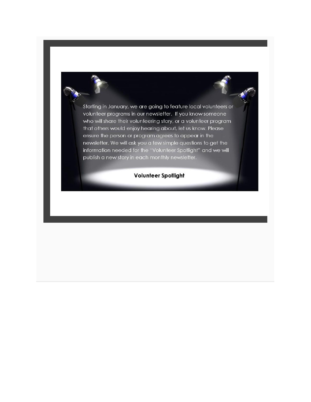Starting in January, we are going to feature local volunteers or volunteer programs in our newsletter. If you know someone who will share their volunteering story, or a volunteer program that others would enjoy hearing about, let us know. Please ensure the person or program agrees to appear in the newsletter. We will ask you a few simple questions to get the information needed for the "Volunteer Spotlight" and we will publish a new story in each monthly newsletter.

## **Volunteer Spotlight**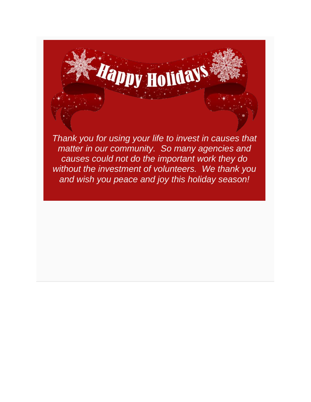

*matter in our community. So many agencies and causes could not do the important work they do without the investment of volunteers. We thank you and wish you peace and joy this holiday season!*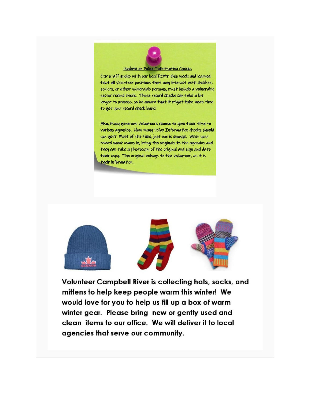

#### Update on Police Information Checks

Our staff spoke with our local RCMP this week and learned that all volunteer positions that may interact with children, seniors, or other vulnerable persons, must include a vulnerable sector record check. Those record checks can take a bit longer to process, so be aware that it might take more time to get your record check back!

Also, many generous volunteers choose to give their time to Various agencies. How many Police Information checks should you get? Most of the time, just one is enough. When your record check comes in, bring the originals to the agencies and they can take a photocopy of the original and sign and date their copy. The original belongs to the volunteer, as it is their information.







Volunteer Campbell River is collecting hats, socks, and mittens to help keep people warm this winter! We would love for you to help us fill up a box of warm winter gear. Please bring new or gently used and clean items to our office. We will deliver it to local agencies that serve our community.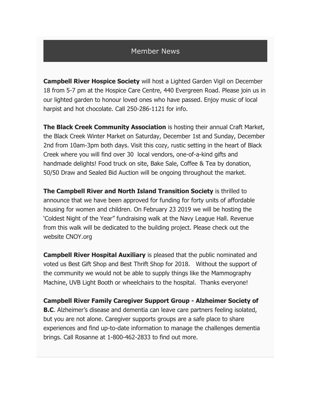## Member News

**Campbell River Hospice Society** will host a Lighted Garden Vigil on December 18 from 5-7 pm at the Hospice Care Centre, 440 Evergreen Road. Please join us in our lighted garden to honour loved ones who have passed. Enjoy music of local harpist and hot chocolate. Call 250-286-1121 for info.

**The Black Creek Community Association** is hosting their annual Craft Market, the Black Creek Winter Market on Saturday, December 1st and Sunday, December 2nd from 10am-3pm both days. Visit this cozy, rustic setting in the heart of Black Creek where you will find over 30 local vendors, one-of-a-kind gifts and handmade delights! Food truck on site, Bake Sale, Coffee & Tea by donation, 50/50 Draw and Sealed Bid Auction will be ongoing throughout the market.

**The Campbell River and North Island Transition Society** is thrilled to announce that we have been approved for funding for forty units of affordable housing for women and children. On February 23 2019 we will be hosting the 'Coldest Night of the Year" fundraising walk at the Navy League Hall. Revenue from this walk will be dedicated to the building project. Please check out the website CNOY.org

**Campbell River Hospital Auxiliary** is pleased that the public nominated and voted us Best Gift Shop and Best Thrift Shop for 2018. Without the support of the community we would not be able to supply things like the Mammography Machine, UVB Light Booth or wheelchairs to the hospital. Thanks everyone!

**Campbell River Family Caregiver Support Group - Alzheimer Society of B.C**. Alzheimer's disease and dementia can leave care partners feeling isolated, but you are not alone. Caregiver supports groups are a safe place to share experiences and find up-to-date information to manage the challenges dementia brings. Call Rosanne at 1-800-462-2833 to find out more.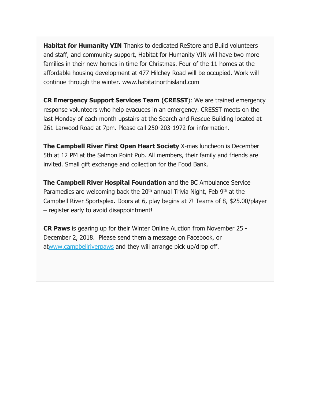**Habitat for Humanity VIN** Thanks to dedicated ReStore and Build volunteers and staff, and community support, Habitat for Humanity VIN will have two more families in their new homes in time for Christmas. Four of the 11 homes at the affordable housing development at 477 Hilchey Road will be occupied. Work will continue through the winter. www.habitatnorthisland.com

**CR Emergency Support Services Team (CRESST**): We are trained emergency response volunteers who help evacuees in an emergency. CRESST meets on the last Monday of each month upstairs at the Search and Rescue Building located at 261 Larwood Road at 7pm. Please call 250-203-1972 for information.

**The Campbell River First Open Heart Society** X-mas luncheon is December 5th at 12 PM at the Salmon Point Pub. All members, their family and friends are invited. Small gift exchange and collection for the Food Bank.

**The Campbell River Hospital Foundation** and the BC Ambulance Service Paramedics are welcoming back the  $20<sup>th</sup>$  annual Trivia Night, Feb  $9<sup>th</sup>$  at the Campbell River Sportsplex. Doors at 6, play begins at 7! Teams of 8, \$25.00/player – register early to avoid disappointment!

**CR Paws** is gearing up for their Winter Online Auction from November 25 - December 2, 2018. Please send them a message on Facebook, or a[twww.campbellriverpaws](http://www.campbellriverpaws/) and they will arrange pick up/drop off.